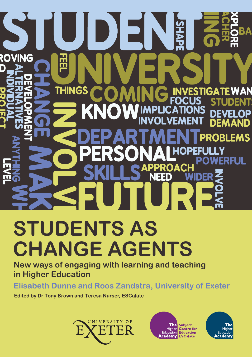# В **ROVING THINGS** AN п STIGA Tϝ D **PROBLEMS STUDENTS AS**

# **CHANGE AGENTS**

**New ways of engaging with learning and teaching in Higher Education**

**Elisabeth Dunne and Roos Zandstra, University of Exeter**

**Edited by Dr Tony Brown and Teresa Nurser, ESCalate** 





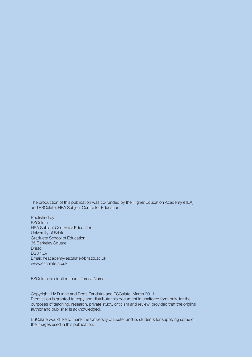The production of this publication was co-funded by the Higher Education Academy (HEA) and ESCalate, HEA Subject Centre for Education.

Published by **ESCalate** HEA Subject Centre for Education University of Bristol Graduate School of Education 35 Berkeley Square Bristol BS8 1JA Email: heacademy-escalate@bristol.ac.uk www.escalate.ac.uk

ESCalate production team: Teresa Nurser

Copyright: Liz Dunne and Roos Zandstra and ESCalate March 2011 Permission is granted to copy and distribute this document in unaltered form only, for the purposes of teaching, research, private study, criticism and review, provided that the original author and publisher is acknowledged.

ESCalate would like to thank the University of Exeter and its students for supplying some of the images used in this publication.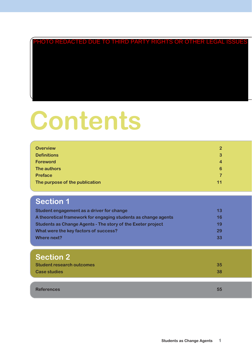# PHOTO REDACTED DUE TO THIRD PARTY RIGHTS OR OTHER LEGAL ISSUES

# **Contents**

| <b>Overview</b>                | $\mathbf{2}$ |
|--------------------------------|--------------|
| <b>Definitions</b>             | 3            |
| <b>Foreword</b>                | 4            |
| The authors                    | 6            |
| <b>Preface</b>                 | 7            |
| The purpose of the publication | 11           |

# **Section 1**

| Student engagement as a driver for change                      | 13 |
|----------------------------------------------------------------|----|
| A theoretical framework for engaging students as change agents | 16 |
| Students as Change Agents - The story of the Exeter project    | 19 |
| What were the key factors of success?                          | 29 |
| Where next?                                                    | 33 |

## **Section 2**

| <b>Student research outcomes</b> | 35. |
|----------------------------------|-----|
| <b>Case studies</b>              | 38  |
|                                  |     |

**References 55**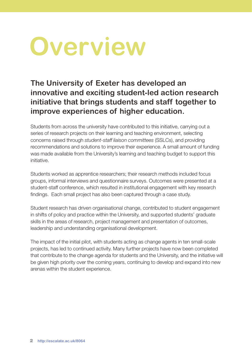# **Overview**

**The University of Exeter has developed an innovative and exciting student-led action research initiative that brings students and staff together to improve experiences of higher education.** 

Students from across the university have contributed to this initiative, carrying out a series of research projects on their learning and teaching environment, selecting concerns raised through *student-staff liaison committees* (SSLCs), and providing recommendations and solutions to improve their experience. A small amount of funding was made available from the University's learning and teaching budget to support this initiative.

Students worked as apprentice researchers; their research methods included focus groups, informal interviews and questionnaire surveys. Outcomes were presented at a student-staff conference, which resulted in institutional engagement with key research findings. Each small project has also been captured through a case study.

Student research has driven organisational change, contributed to student engagement in shifts of policy and practice within the University, and supported students' graduate skills in the areas of research, project management and presentation of outcomes, leadership and understanding organisational development.

The impact of the initial pilot, with students acting as change agents in ten small-scale projects, has led to continued activity. Many further projects have now been completed that contribute to the change agenda for students and the University, and the initiative will be given high priority over the coming years, continuing to develop and expand into new arenas within the student experience.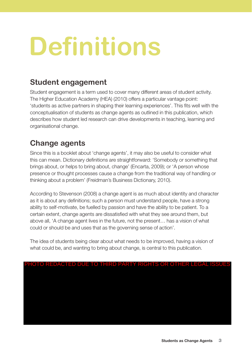# **Definitions**

## **Student engagement**

Student engagement is a term used to cover many different areas of student activity. The Higher Education Academy (HEA) (2010) offers a particular vantage point: 'students as active partners in shaping their learning experiences'. This fits well with the conceptualisation of students as change agents as outlined in this publication, which describes how student led research can drive developments in teaching, learning and organisational change.

## **Change agents**

Since this is a booklet about 'change agents', it may also be useful to consider what this can mean. Dictionary definitions are straightforward: 'Somebody or something that brings about, or helps to bring about, change' (Encarta, 2009); or 'A person whose presence or thought processes cause a change from the traditional way of handling or thinking about a problem' (Freidman's Business Dictionary, 2010).

According to Stevenson (2008) a change agent is as much about identity and character as it is about any definitions; such a person must understand people, have a strong ability to self-motivate, be fuelled by passion and have the ability to be patient. To a certain extent, change agents are dissatisfied with what they see around them, but above all, 'A change agent lives in the future, not the present… has a vision of what could or should be and uses that as the governing sense of action'.

The idea of students being clear about what needs to be improved, having a vision of what could be, and wanting to bring about change, is central to this publication.

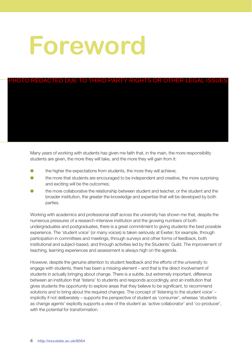# **Foreword**

# HOTO REDACTED DUE TO THIRD PARTY RIGHTS OR OTHER LEGAL ISSUE

Many years of working with students has given me faith that, in the main, the more responsibility students are given, the more they will take, and the more they will gain from it:

- $\bullet$  the higher the expectations from students, the more they will achieve;
- the more that students are encouraged to be independent and creative, the more surprising and exciting will be the outcomes;
- the more collaborative the relationship between student and teacher, or the student and the broader institution, the greater the knowledge and expertise that will be developed by both parties.

Working with academics and professional staff across the university has shown me that, despite the numerous pressures of a research-intensive institution and the growing numbers of both undergraduates and postgraduates, there is a great commitment to giving students the best possible experience. The 'student voice' (or many voices) is taken seriously at Exeter; for example, through participation in committees and meetings, through surveys and other forms of feedback, both institutional and subject-based, and through activities led by the Students' Guild. The improvement of teaching, learning experiences and assessment is always high on the agenda.

However, despite the genuine attention to student feedback and the efforts of the university to engage with students, there has been a missing element – and that is the direct involvement of students in actually bringing about change. There is a subtle, but extremely important, difference between an institution that 'listens' to students and responds accordingly, and an institution that gives students the opportunity to explore areas that they believe to be significant, to recommend solutions and to bring about the required changes. The concept of 'listening to the student voice' – implicitly if not deliberately – supports the perspective of student as 'consumer', whereas 'students as change agents' explicitly supports a view of the student as 'active collaborator' and 'co-producer', with the potential for transformation.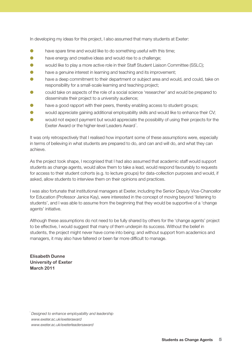In developing my ideas for this project, I also assumed that many students at Exeter:

- have spare time and would like to do something useful with this time;
- have energy and creative ideas and would rise to a challenge;
- would like to play a more active role in their Staff Student Liaison Committee (SSLC);
- have a genuine interest in learning and teaching and its improvement;
- have a deep commitment to their department or subject area and would, and could, take on responsibility for a small-scale learning and teaching project;
- could take on aspects of the role of a social science 'researcher' and would be prepared to disseminate their project to a university audience;
- have a good rapport with their peers, thereby enabling access to student groups;
- would appreciate gaining additional employability skills and would like to enhance their CV;
- would not expect payment but would appreciate the possibility of using their projects for the Exeter Award or the higher-level Leaders Award<sup>1</sup>.

It was only retrospectively that I realised how important some of these assumptions were, especially in terms of believing in what students are prepared to do, and can and will do, and what they can achieve.

As the project took shape, I recognised that I had also assumed that academic staff would support students as change agents, would allow them to take a lead, would respond favourably to requests for access to their student cohorts (e.g. to lecture groups) for data-collection purposes and would, if asked, allow students to interview them on their opinions and practices.

I was also fortunate that institutional managers at Exeter, including the Senior Deputy Vice-Chancellor for Education (Professor Janice Kay), were interested in the concept of moving beyond 'listening to students', and I was able to assume from the beginning that they would be supportive of a 'change agents' initiative.

Although these assumptions do not need to be fully shared by others for the 'change agents' project to be effective, I would suggest that many of them underpin its success. Without the belief in students, the project might never have come into being; and without support from academics and managers, it may also have faltered or been far more difficult to manage.

**Elisabeth Dunne University of Exeter March 2011**

<sup>1</sup>*Designed to enhance employability and leadership www.exeter.ac.uk/exeteraward www.exeter.ac.uk/exeterleadersaward*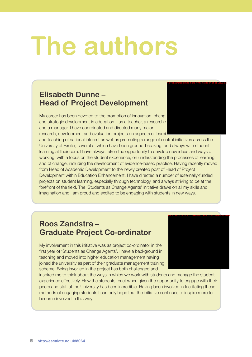# **The authors**

### **Elisabeth Dunne – Head of Project Development**

My career has been devoted to the promotion of innovation, chang and strategic development in education – as a teacher, a researche and a manager. I have coordinated and directed many major research, development and evaluation projects on aspects of learni

and teaching of national interest as well as promoting a range of central initiatives across the University of Exeter, several of which have been ground-breaking, and always with student learning at their core. I have always taken the opportunity to develop new ideas and ways of working, with a focus on the student experience, on understanding the processes of learning and of change, including the development of evidence-based practice. Having recently moved from Head of Academic Development to the newly created post of Head of Project Development within Education Enhancement, I have directed a number of externally-funded projects on student learning, especially through technology, and always striving to be at the forefront of the field. The 'Students as Change Agents' initiative draws on all my skills and imagination and I am proud and excited to be engaging with students in new ways.

### **Roos Zandstra – Graduate Project Co-ordinator**

My involvement in this initiative was as project co-ordinator in the first year of 'Students as Change Agents'. I have a background in teaching and moved into higher education management having joined the university as part of their graduate management training scheme. Being involved in the project has both challenged and



PHOTO REDACTED DUE TO THIRD PARTY RIGHTS OR OTHER LEGAL ISS

inspired me to think about the ways in which we work with students and manage the student experience effectively. How the students react when given the opportunity to engage with their peers and staff at the University has been incredible. Having been involved in facilitating these methods of engaging students I can only hope that the initiative continues to inspire more to become involved in this way.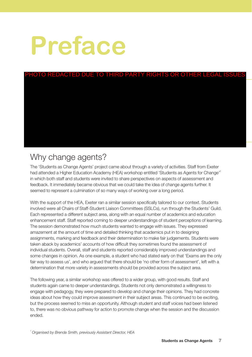# **Preface**

# <u>HOTO REDACTED DUE TO THIRD PARTY RIGHTS OR OTHER LEGAL ISSU</u>

# Why change agents?

The 'Students as Change Agents' project came about through a variety of activities. Staff from Exeter had attended a Higher Education Academy (HEA) workshop entitled 'Students as Agents for Change'<sup>2</sup> in which both staff and students were invited to share perspectives on aspects of assessment and feedback. It immediately became obvious that we could take the idea of change agents further. It seemed to represent a culmination of so many ways of working over a long period.

With the support of the HEA, Exeter ran a similar session specifically tailored to our context. Students involved were all Chairs of Staff-Student Liaison Committees (SSLCs), run through the Students' Guild. Each represented a different subject area, along with an equal number of academics and education enhancement staff. Staff reported coming to deeper understandings of student perceptions of learning. The session demonstrated how much students wanted to engage with issues. They expressed amazement at the amount of time and detailed thinking that academics put in to designing assignments, marking and feedback and their determination to make fair judgements. Students were taken aback by academics' accounts of how difficult they sometimes found the assessment of individual students. Overall, staff and students reported considerably improved understandings and some changes in opinion. As one example, a student who had stated early on that 'Exams are the only fair way to assess us', and who argued that there should be 'no other form of assessment', left with a determination that more variety in assessments should be provided across the subject area.

The following year, a similar workshop was offered to a wider group, with good results. Staff and students again came to deeper understandings. Students not only demonstrated a willingness to engage with pedagogy, they were prepared to develop and change their opinions. They had concrete ideas about how they could improve assessment in their subject areas. This continued to be exciting, but the process seemed to miss an opportunity. Although student and staff voices had been listened to, there was no obvious pathway for action to promote change when the session and the discussion ended.

<sup>2</sup>*Organised by Brenda Smith, previously Assistant Director, HEA*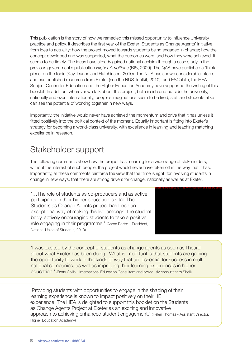This publication is the story of how we remedied this missed opportunity to influence University practice and policy. It describes the first year of the Exeter 'Students as Change Agents' initiative, from idea to actuality: how the project moved towards students being engaged in change; how the concept developed and was supported, what the outcomes were, and how they were achieved. It seems to be timely. The ideas have already gained national acclaim through a case study in the previous government's publication *Higher Ambitions* (BIS, 2009). The QAA have published a 'thinkpiece' on the topic (Kay, Dunne and Hutchinson, 2010). The NUS has shown considerable interest and has published resources from Exeter (see the NUS Toolkit, 2010), and ESCalate, the HEA Subject Centre for Education and the Higher Education Academy have supported the writing of this booklet. In addition, wherever we talk about this project, both inside and outside the university, nationally and even internationally, people's imaginations seem to be fired; staff and students alike can see the potential of working together in new ways.

Importantly, the initiative would never have achieved the momentum and drive that it has unless it fitted positively into the political context of the moment. Equally important is fitting into Exeter's strategy for becoming a world-class university, with excellence in learning and teaching matching excellence in research.

# Stakeholder support

The following comments show how the project has meaning for a wide range of stakeholders; without the interest of such people, the project would never have taken off in the way that it has. Importantly, all these comments reinforce the view that the 'time is right' for involving students in change in new ways, that there are strong drivers for change, nationally as well as at Exeter.

'…The role of students as co-producers and as active participants in their higher education is vital. The Students as Change Agents project has been an exceptional way of making this live amongst the student body, actively encouraging students to take a positive role engaging in their programme.' (Aaron Porter – President, National Union of Students, 2010)



'I was excited by the concept of students as change agents as soon as I heard about what Exeter has been doing. What is important is that students are gaining the opportunity to work in the kinds of way that are essential for success in multinational companies, as well as improving their learning experiences in higher education.' (Betty Collis – International Education Consultant and previously consultant to Shell)

'Providing students with opportunities to engage in the shaping of their learning experience is known to impact positively on their HE experience. The HEA is delighted to support this booklet on the Students as Change Agents Project at Exeter as an exciting and innovative approach to achieving enhanced student engagement.' (Helen Thomas - Assistant Director, Higher Education Academy)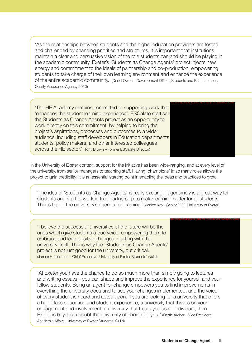'As the relationships between students and the higher education providers are tested and challenged by changing priorities and structures, it is important that institutions maintain a clear and persuasive vision of the role students can and should be playing in the academic community. Exeter's 'Students as Change Agents' project injects new energy and commitment to the ideals of partnership and co-production, empowering students to take charge of their own learning environment and enhance the experience of the entire academic community.' (Derfel Owen – Development Officer, Students and Enhancement, Quality Assurance Agency 2010)

'The HE Academy remains committed to supporting work that 'enhances the student learning experience'. ESCalate staff see the Students as Change Agents project as an opportunity to work directly on this commitment, by helping to bring the project's aspirations, processes and outcomes to a wider audience, including staff developers in Education departments students, policy makers, and other interested colleagues across the HE sector.' (Tony Brown – Former ESCalate Director)

In the University of Exeter context, support for the initiative has been wide-ranging, and at every level of the university, from senior managers to teaching staff. Having 'champions' in so many roles allows the project to gain credibility; it is an essential starting point in enabling the ideas and practices to grow.

'The idea of 'Students as Change Agents' is really exciting. It genuinely is a great way for students and staff to work in true partnership to make learning better for all students. This is top of the university's agenda for learning.' (Janice Kay - Senior DVC, University of Exeter)

'I believe the successful universities of the future will be the ones which give students a true voice, empowering them to embrace and lead positive changes, starting with the university itself. This is why the 'Students as Change Agents' project is not just good for the university, but critical.' (James Hutchinson – Chief Executive, University of Exeter Students' Guild)

'At Exeter you have the chance to do so much more than simply going to lectures and writing essays – you can shape and improve the experience for yourself and your fellow students. Being an agent for change empowers you to find improvements in everything the university does and to see your changes implemented, and the voice of every student is heard and acted upon. If you are looking for a university that offers a high class education and student experience, a university that thrives on your engagement and involvement, a university that treats you as an individual, then Exeter is beyond a doubt the university of choice for you.' (Bertie Archer – Vice President Academic Affairs, University of Exeter Students' Guild)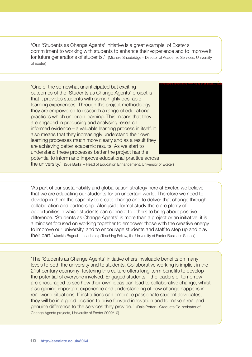'Our 'Students as Change Agents' initiative is a great example of Exeter's commitment to working with students to enhance their experience and to improve it for future generations of students.' (Michele Shoebridge – Director of Academic Services, University of Exeter)

'One of the somewhat unanticipated but exciting outcomes of the 'Students as Change Agents' project is that it provides students with some highly desirable learning experiences. Through the project methodology they are empowered to research a range of educational practices which underpin learning. This means that they are engaged in producing and analysing research informed evidence – a valuable learning process in itself. It also means that they increasingly understand their own learning processes much more clearly and as a result they are achieving better academic results. As we start to understand these processes better the project has the potential to inform and improve educational practice across



the university.' (Sue Burkill – Head of Education Enhancement, University of Exeter)

'As part of our sustainability and globalisation strategy here at Exeter, we believe that we are educating our students for an uncertain world. Therefore we need to develop in them the capacity to create change and to deliver that change through collaboration and partnership. Alongside formal study there are plenty of opportunities in which students can connect to others to bring about positive difference. 'Students as Change Agents' is more than a project or an initiative, it is a mindset focused on working together to empower those with the creative energy to improve our university, and to encourage students and staff to step up and play their part.' (Jackie Bagnall – Leadership Teaching Fellow, the University of Exeter Business School)

'The 'Students as Change Agents' initiative offers invaluable benefits on many levels to both the university and to students. Collaborative working is implicit in the 21st century economy: fostering this culture offers long-term benefits to develop the potential of everyone involved. Engaged students – the leaders of tomorrow – are encouraged to see how their own ideas can lead to collaborative change, whilst also gaining important experience and understanding of how change happens in real-world situations. If institutions can embrace passionate student advocates, they will be in a good position to drive forward innovation and to make a real and genuine difference to the services they provide.' (Dale Potter – Graduate Co-ordinator of Change Agents projects, University of Exeter 2009/10)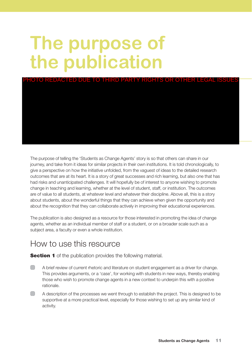# **The purpose of the publication**



The purpose of telling the 'Students as Change Agents' story is so that others can share in our journey, and take from it ideas for similar projects in their own institutions. It is told chronologically, to give a perspective on how the initiative unfolded, from the vaguest of ideas to the detailed research outcomes that are at its heart. It is a story of great successes and rich learning, but also one that has had risks and unanticipated challenges. It will hopefully be of interest to anyone wishing to promote change in teaching and learning, whether at the level of student, staff, or institution. The outcomes are of value to all students, at whatever level and whatever their discipline. Above all, this is a story about students, about the wonderful things that they can achieve when given the opportunity and about the recognition that they can collaborate actively in improving their educational experiences.

The publication is also designed as a resource for those interested in promoting the idea of change agents, whether as an individual member of staff or a student, or on a broader scale such as a subject area, a faculty or even a whole institution.

## How to use this resource

**Section 1** of the publication provides the following material.

- A brief review of current rhetoric and literature on student engagement as a driver for change. This provides arguments, or a 'case', for working with students in new ways, thereby enabling those who wish to promote change agents in a new context to underpin this with a positive rationale.
- A description of the processes we went through to establish the project. This is designed to be supportive at a more practical level, especially for those wishing to set up any similar kind of activity.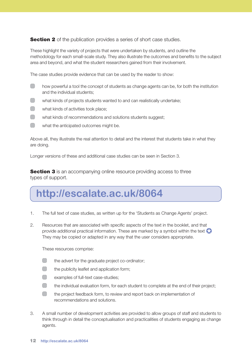**Section 2** of the publication provides a series of short case studies.

These highlight the variety of projects that were undertaken by students, and outline the methodology for each small-scale study. They also illustrate the outcomes and benefits to the subject area and beyond, and what the student researchers gained from their involvement.

The case studies provide evidence that can be used by the reader to show:

- $\Box$ how powerful a tool the concept of students as change agents can be, for both the institution and the individual students;
- $\Box$ what kinds of projects students wanted to and can realistically undertake;
- $\Box$ what kinds of activities took place;
- $\Box$ what kinds of recommendations and solutions students suggest;
- what the anticipated outcomes might be.

Above all, they illustrate the real attention to detail and the interest that students take in what they are doing.

Longer versions of these and additional case studies can be seen in Section 3.

**Section 3** is an accompanying online resource providing access to three types of support.

# **http://escalate.ac.uk/8064**

- 1. The full text of case studies, as written up for the 'Students as Change Agents' project.
- 2. Resources that are associated with specific aspects of the text in the booklet, and that provide additional practical information. These are marked by a symbol within the text They may be copied or adapted in any way that the user considers appropriate.

These resources comprise:

- $\Box$ the advert for the graduate project co-ordinator;
- $\Box$ the publicity leaflet and application form;
- $\Box$ examples of full-text case-studies;
- $\Box$ the individual evaluation form, for each student to complete at the end of their project;
- $\Box$ the project feedback form, to review and report back on implementation of recommendations and solutions.
- 3. A small number of development activities are provided to allow groups of staff and students to think through in detail the conceptualisation and practicalities of students engaging as change agents.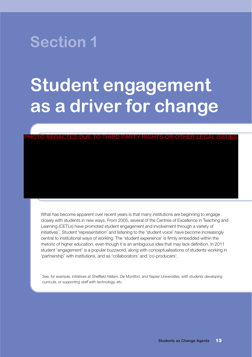

# **Student engagement as a driver for change**

#### PHOTO REDACTED DUE TO THIRD PARTY RIGHTS OR OTHER LEGAL ISSUES

What has become apparent over recent years is that many institutions are beginning to engage closely with students in new ways. From 2005, several of the Centres of Excellence in Teaching and Learning (CETLs) have promoted student engagement and involvement through a variety of initiatives<sup>3</sup>. Student 'representation' and listening to the 'student voice' have become increasingly central to institutional ways of working. The 'student experience' is firmly embedded within the rhetoric of higher education, even though it is an ambiguous idea that may lack definition. In 2011 student 'engagement' is a popular buzzword, along with conceptualisations of students working in 'partnership' with institutions, and as 'collaborators' and 'co-producers'.

<sup>3</sup>*See, for example, initiatives at Sheffield Hallam, De Montfort, and Napier Universities, with students developing curricula, or supporting staff with technology, etc.*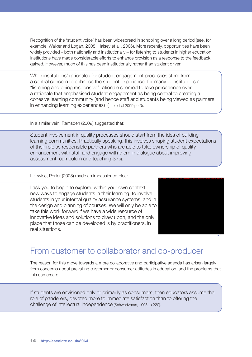Recognition of the 'student voice' has been widespread in schooling over a long period (see, for example, Walker and Logan, 2008; Halsey et al., 2006). More recently, opportunities have been widely provided – both nationally and institutionally – for listening to students in higher education. Institutions have made considerable efforts to enhance provision as a response to the feedback gained. However, much of this has been institutionally rather than student driven:

While institutions' rationales for student engagement processes stem from a central concern to enhance the student experience, for many… institutions a "listening and being responsive" rationale seemed to take precedence over a rationale that emphasised student engagement as being central to creating a cohesive learning community (and hence staff and students being viewed as partners in enhancing learning experiences) (Little et al 2009 p.43).

In a similar vein, Ramsden (2009) suggested that:

Student involvement in quality processes should start from the idea of building learning communities. Practically speaking, this involves shaping student expectations of their role as responsible partners who are able to take ownership of quality enhancement with staff and engage with them in dialogue about improving assessment, curriculum and teaching (p.16).

Likewise, Porter (2008) made an impassioned plea:

I ask you to begin to explore, within your own context, new ways to engage students in their learning, to involve students in your internal quality assurance systems, and in the design and planning of courses. We will only be able to take this work forward if we have a wide resource of innovative ideas and solutions to draw upon, and the only place that those can be developed is by practitioners, in real situations.



## From customer to collaborator and co-producer

The reason for this move towards a more collaborative and participative agenda has arisen largely from concerns about prevailing customer or consumer attitudes in education, and the problems that this can create.

If students are envisioned only or primarily as consumers, then educators assume the role of panderers, devoted more to immediate satisfaction than to offering the challenge of intellectual independence (Schwartzman, 1995, p.220).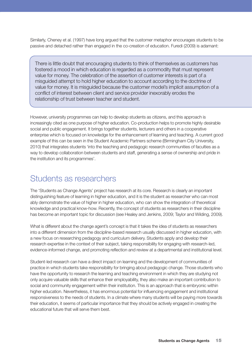Similarly, Cheney et al. (1997) have long argued that the customer metaphor encourages students to be passive and detached rather than engaged in the co-creation of education. Furedi (2009) is adamant:

There is little doubt that encouraging students to think of themselves as customers has fostered a mood in which education is regarded as a commodity that must represent value for money. The celebration of the assertion of customer interests is part of a misguided attempt to hold higher education to account according to the doctrine of value for money. It is misguided because the customer model's implicit assumption of a conflict of interest between client and service provider inexorably erodes the relationship of trust between teacher and student.

However, university programmes can help to develop students as citizens, and this approach is increasingly cited as one purpose of higher education. Co-production helps to promote highly desirable social and public engagement. It brings together students, lecturers and others in a cooperative enterprise which is focused on knowledge for the enhancement of learning and teaching. A current good example of this can be seen in the Student Academic Partners scheme (Birmingham City University, 2010) that integrates students 'into the teaching and pedagogic research communities of faculties as a way to develop collaboration between students and staff, generating a sense of ownership and pride in the institution and its programmes'.

### Students as researchers

The 'Students as Change Agents' project has research at its core. Research is clearly an important distinguishing feature of learning in higher education, and it is the student as researcher who can most ably demonstrate the value of higher in higher education, who can show the integration of theoretical knowledge and practical know-how. Recently, the concept of students as researchers in their discipline has become an important topic for discussion (see Healey and Jenkins, 2009; Taylor and Wilding, 2009).

What is different about the change agent's concept is that it takes the idea of students as researchers into a different dimension from the discipline-based research usually discussed in higher education, with a new focus on researching pedagogy and curriculum delivery. Students apply and develop their research expertise in the context of their subject, taking responsibility for engaging with research-led, evidence-informed change, and promoting reflection and review at a departmental and institutional level.

Student-led research can have a direct impact on learning and the development of communities of practice in which students take responsibility for bringing about pedagogic change. Those students who have the opportunity to research the learning and teaching environment in which they are studying not only acquire valuable skills that enhance their employability, they also make an important contribution to social and community engagement within their institution. This is an approach that is embryonic within higher education. Nevertheless, it has enormous potential for influencing engagement and institutional responsiveness to the needs of students. In a climate where many students will be paying more towards their education, it seems of particular importance that they should be actively engaged in creating the educational future that will serve them best.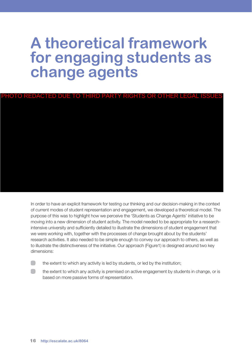# **A theoretical framework for engaging students as change agents**

PHOTO REDACTED DUE TO THIRD PARTY RIGHTS OR OTHER LEGAL ISSUES

In order to have an explicit framework for testing our thinking and our decision-making in the context of current modes of student representation and engagement, we developed a theoretical model. The purpose of this was to highlight how we perceive the 'Students as Change Agents' initiative to be moving into a new dimension of student activity. The model needed to be appropriate for a researchintensive university and sufficiently detailed to illustrate the dimensions of student engagement that we were working with, together with the processes of change brought about by the students' research activities. It also needed to be simple enough to convey our approach to others, as well as to illustrate the distinctiveness of the initiative. Our approach (Figure1) is designed around two key dimensions:

- $\Box$ the extent to which any activity is led by students, or led by the institution;
- $\Box$ the extent to which any activity is premised on active engagement by students in change, or is based on more passive forms of representation.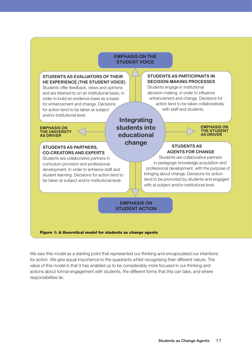#### **EMPHASIS ON THE STUDENT VOICE**

#### **STUDENTS AS EVALUATORS OF THEIR HE EXPERIENCE (THE STUDENT VOICE)**

Students offer feedback, views and opinions and are listened to on an institutional basis, in order to build an evidence-base as a basis for enhancement and change. Decisions for action tend to be taken at subject and/or institutional level.

#### **STUDENTS AS PARTICIPANTS IN DECISION-MAKING PROCESSES**

Students engage in institutional decision-making, in order to influence enhancement and change. Decisions for action tend to be taken collaboratively with staff and students.

#### **EMPHASIS ON THE UNIVERSTY AS DRIVER**

#### **STUDENTS AS PARTNERS, CO-CREATORS AND EXPERTS**

Students are collaborative partners in curriculum provision and professional development, in order to enhance staff and student learning. Decisions for action tend to be taken at subject and/or institutional level.

### **Integrating students into educational change STUDENTS AS**



# **AGENTS FOR CHANGE**

Students are collaborative partners in pedagogic knowledge acquisition and professional development, with the purpose of bringing about change. Decisions for action tend to be promoted by students and engaged with at subject and/or institutional level.

#### **EMPHASIS ON STUDENT ACTION**

#### **Figure 1: A theoretical model for students as change agents**

We saw this model as a starting point that represented our thinking and encapsulated our intentions for action. We give equal importance to the quadrants whilst recognising their different nature. The value of this model is that it has enabled us to be considerably more focused in our thinking and actions about formal engagement with students, the different forms that this can take, and where responsibilities lie.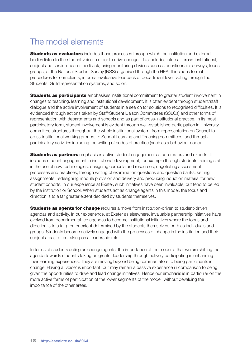# The model elements

**Students as evaluators** includes those processes through which the institution and external bodies listen to the student voice in order to drive change. This includes internal, cross-institutional, subject and service-based feedback, using monitoring devices such as questionnaire surveys, focus groups, or the National Student Survey (NSS) organised through the HEA. It includes formal procedures for complaints, informal evaluative feedback at department level, voting through the Students' Guild representation systems, and so on.

**Students as participants** emphasises institutional commitment to greater student involvement in changes to teaching, learning and institutional development. It is often evident through student/staff dialogue and the active involvement of students in a search for solutions to recognised difficulties. It is evidenced through actions taken by Staff/Student Liaison Committees (SSLCs) and other forms of representation with departments and schools and as part of cross-institutional practice. In its most participatory form, student involvement is evident through well-established participation in University committee structures throughout the whole institutional system, from representation on Council to cross-institutional working groups, to School Learning and Teaching committees, and through participatory activities including the writing of codes of practice (such as a behaviour code).

**Students as partners** emphasises active student engagement as co-creators and experts. It includes student engagement in institutional development, for example through students training staff in the use of new technologies, designing curricula and resources, negotiating assessment processes and practices, through writing of examination questions and question banks, setting assignments, redesigning module provision and delivery and producing induction material for new student cohorts. In our experience at Exeter, such initiatives have been invaluable, but tend to be led by the institution or School. When students act as change agents in this model, the focus and direction is to a far greater extent decided by students themselves.

**Students as agents for change** requires a move from institution-driven to student-driven agendas and activity. In our experience, at Exeter as elsewhere, invaluable partnership initiatives have evolved from departmental-led agendas to become institutional initiatives where the focus and direction is to a far greater extent determined by the students themselves, both as individuals and groups. Students become actively engaged with the processes of change in the institution and their subject areas, often taking on a leadership role.

In terms of students acting as change agents, the importance of the model is that we are shifting the agenda towards students taking on greater leadership through actively participating in enhancing their learning experiences. They are moving beyond being commentators to being participants in change. Having a 'voice' is important, but may remain a passive experience in comparison to being given the opportunities to drive and lead change initiatives. Hence our emphasis is in particular on the more active forms of participation of the lower segments of the model, without devaluing the importance of the other areas.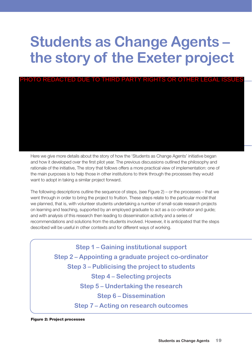# **Students as Change Agents – the story of the Exeter project**



Here we give more details about the story of how the 'Students as Change Agents' initiative began and how it developed over the first pilot year. The previous discussions outlined the philosophy and rationale of the initiative, The story that follows offers a more practical view of implementation: one of the main purposes is to help those in other institutions to think through the processes they would want to adopt in taking a similar project forward.

The following descriptions outline the sequence of steps, (see Figure 2) – or the processes – that we went through in order to bring the project to fruition. These steps relate to the particular model that we planned, that is, with volunteer students undertaking a number of small-scale research projects on learning and teaching, supported by an employed graduate to act as a co-ordinator and guide; and with analysis of this research then leading to dissemination activity and a series of recommendations and solutions from the students involved. However, it is anticipated that the steps described will be useful in other contexts and for different ways of working.

> **Step 1 – Gaining institutional support Step 2 – Appointing a graduate project co-ordinator Step 3 – Publicising the project to students Step 4 – Selecting projects Step 5 – Undertaking the research Step 6 – Dissemination Step 7 – Acting on research outcomes**

**Figure 2: Project processes**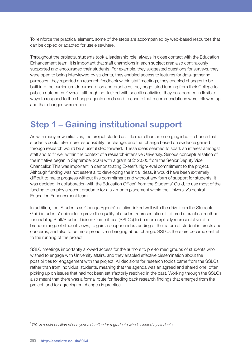To reinforce the practical element, some of the steps are accompanied by web-based resources that can be copied or adapted for use elsewhere.

Throughout the projects, students took a leadership role, always in close contact with the Education Enhancement team. It is important that staff champions in each subject area also continuously supported and encouraged their students. For example, they suggested questions for surveys, they were open to being interviewed by students, they enabled access to lectures for data-gathering purposes, they reported on research feedback within staff meetings, they enabled changes to be built into the curriculum documentation and practices, they negotiated funding from their College to publish outcomes. Overall, although not tasked with specific activities, they collaborated in flexible ways to respond to the change agents needs and to ensure that recommendations were followed up and that changes were made.

# **Step 1 – Gaining institutional support**

As with many new initiatives, the project started as little more than an emerging idea – a hunch that students could take more responsibility for change, and that change based on evidence gained through research would be a useful step forward. These ideas seemed to spark an interest amongst staff and to fit well within the context of a research-intensive University. Serious conceptualisation of the initiative began in September 2008 with a grant of £12,000 from the Senior Deputy Vice Chancellor. This was important in demonstrating Exeter's high-level commitment to the project. Although funding was not essential to developing the initial ideas, it would have been extremely difficult to make progress without this commitment and without any form of support for students. It was decided, in collaboration with the Education Officer<sup>4</sup> from the Students' Guild, to use most of the funding to employ a recent graduate for a six month placement within the University's central Education Enhancement team.

In addition, the 'Students as Change Agents' initiative linked well with the drive from the Students' Guild (students' union) to improve the quality of student representation. It offered a practical method for enabling Staff/Student Liaison Committees (SSLCs) to be more explicitly representative of a broader range of student views, to gain a deeper understanding of the nature of student interests and concerns, and also to be more proactive in bringing about change. SSLCs therefore became central to the running of the project.

SSLC meetings importantly allowed access for the authors to pre-formed groups of students who wished to engage with University affairs, and they enabled effective dissemination about the possibilities for engagement with the project. All decisions for research topics came from the SSLCs rather than from individual students, meaning that the agenda was an agreed and shared one, often picking up on issues that had not been satisfactorily resolved in the past. Working through the SSLCs also meant that there was a formal route for feeding back research findings that emerged from the project, and for agreeing on changes in practice.

<sup>4</sup>*This is a paid position of one year's duration for a graduate who is elected by students*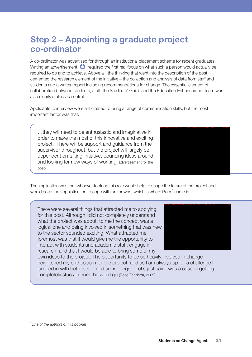# **Step 2 – Appointing a graduate project co-ordinator**

A co-ordinator was advertised for through an institutional placement scheme for recent graduates. Writing an advertisement  $\blacktriangleright$  required the first real focus on what such a person would actually be required to do and to achieve. Above all, the thinking that went into the description of the post cemented the research element of the initiative – the collection and analysis of data from staff and students and a written report including recommendations for change. The essential element of collaboration between students, staff, the Students' Guild and the Education Enhancement team was also clearly stated as central.

Applicants to interview were anticipated to bring a range of communication skills, but the most important factor was that:

…they will need to be enthusiastic and imaginative in order to make the most of this innovative and exciting project. There will be support and guidance from the supervisor throughout, but the project will largely be dependent on taking initiative, bouncing ideas around and looking for new ways of working (advertisement for the post).



The implication was that whoever took on this role would help to shape the future of the project and would need the sophistication to cope with unknowns, which is where Roos<sup>5</sup> came in.

There were several things that attracted me to applying for this post. Although I did not completely understand what the project was about, to me the concept was a logical one and being involved in something that was new to the sector sounded exciting. What attracted me foremost was that it would give me the opportunity to interact with students and academic staff, engage in research, and that I would be able to bring some of my



own ideas to the project. The opportunity to be so heavily involved in change heightened my enthusiasm for the project, and as I am always up for a challenge I jumped in with both feet… and arms…legs…Let's just say it was a case of getting completely stuck in from the word go (Roos Zandstra, 2009).

<sup>5</sup>*One of the authors of this booklet*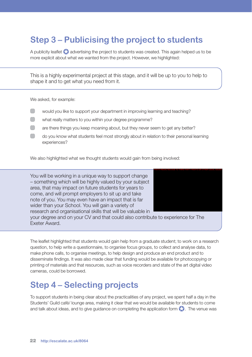# **Step 3 – Publicising the project to students**

A publicity leaflet  $\bigotimes$  advertising the project to students was created. This again helped us to be more explicit about what we wanted from the project. However, we highlighted:

This is a highly experimental project at this stage, and it will be up to you to help to shape it and to get what you need from it.

We asked, for example:

- would you like to support your department in improving learning and teaching?
- what really matters to you within your degree programme?
- are there things you keep moaning about, but they never seem to get any better?
- do you know what students feel most strongly about in relation to their personal learning experiences?

We also highlighted what we thought students would gain from being involved:

You will be working in a unique way to support change – something which will be highly valued by your subject area, that may impact on future students for years to come, and will prompt employers to sit up and take note of you. You may even have an impact that is far wider than your School. You will gain a variety of research and organisational skills that will be valuable in



your degree and on your CV and that could also contribute to experience for The Exeter Award.

The leaflet highlighted that students would gain help from a graduate student; to work on a research question, to help write a questionnaire, to organise focus groups, to collect and analyse data, to make phone calls, to organise meetings, to help design and produce an end product and to disseminate findings. It was also made clear that funding would be available for photocopying or printing of materials and that resources, such as voice recorders and state of the art digital video cameras, could be borrowed.

## **Step 4 – Selecting projects**

To support students in being clear about the practicalities of any project, we spent half a day in the Students' Guild café/ lounge area, making it clear that we would be available for students to come and talk about ideas, and to give guidance on completing the application form  $\bullet$ . The venue was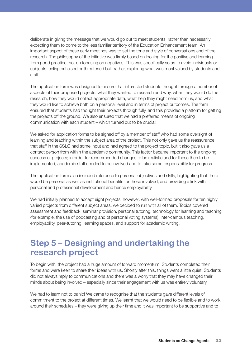deliberate in giving the message that we would go out to meet students, rather than necessarily expecting them to come to the less familiar territory of the Education Enhancement team. An important aspect of these early meetings was to set the tone and style of conversations and of the research. The philosophy of the initiative was firmly based on looking for the positive and learning from good practice, not on focusing on negatives. This was specifically so as to avoid individuals or subjects feeling criticised or threatened but, rather, exploring what was most valued by students and staff.

The application form was designed to ensure that interested students thought through a number of aspects of their proposed projects: what they wanted to research and why, when they would do the research, how they would collect appropriate data, what help they might need from us, and what they would like to achieve both on a personal level and in terms of project outcomes. The form ensured that students had thought their projects through fully, and this provided a platform for getting the projects off the ground. We also ensured that we had a preferred means of ongoing communication with each student – which turned out to be crucial!

We asked for application forms to be signed off by a member of staff who had some oversight of learning and teaching within the subject area of the project. This not only gave us the reassurance that staff in the SSLC had some input and had agreed to the project topic, but it also gave us a contact person from within the academic community. This factor became important to the ongoing success of projects; in order for recommended changes to be realistic and for these then to be implemented, academic staff needed to be involved and to take some responsibility for progress.

The application form also included reference to personal objectives and skills, highlighting that there would be personal as well as institutional benefits for those involved, and providing a link with personal and professional development and hence employability.

We had initially planned to accept eight projects; however, with well-formed proposals for ten highly varied projects from different subject areas, we decided to run with all of them. Topics covered assessment and feedback, seminar provision, personal tutoring, technology for learning and teaching (for example, the use of podcasting and of personal voting systems), inter-campus teaching, employability, peer-tutoring, learning spaces, and support for academic writing.

# **Step 5 – Designing and undertaking the research project**

To begin with, the project had a huge amount of forward momentum. Students completed their forms and were keen to share their ideas with us. Shortly after this, things went a little quiet. Students did not always reply to communications and there was a worry that they may have changed their minds about being involved – especially since their engagement with us was entirely voluntary.

We had to learn not to panic! We came to recognise that the students gave different levels of commitment to the project at different times. We learnt that we would need to be flexible and to work around their schedules – they were giving up their time and it was important to be supportive and to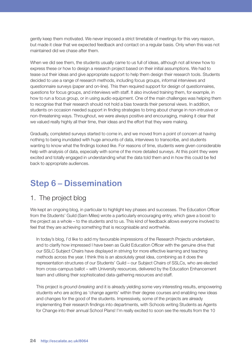gently keep them motivated. We never imposed a strict timetable of meetings for this very reason, but made it clear that we expected feedback and contact on a regular basis. Only when this was not maintained did we chase after them.

When we did see them, the students usually came to us full of ideas, although not all knew how to express these or how to design a research project based on their initial assumptions. We had to tease out their ideas and give appropriate support to help them design their research tools. Students decided to use a range of research methods, including focus groups, informal interviews and questionnaire surveys (paper and on-line). This then required support for design of questionnaires, questions for focus groups, and interviews with staff. It also involved training them, for example, in how to run a focus group, or in using audio equipment. One of the main challenges was helping them to recognise that their research should not hold a bias towards their personal views. In addition, students on occasion needed support in finding strategies to bring about change in non-intrusive or non-threatening ways. Throughout, we were always positive and encouraging, making it clear that we valued really highly all their time, their ideas and the effort that they were making.

Gradually, completed surveys started to come in, and we moved from a point of concern at having nothing to being inundated with huge amounts of data, interviews to transcribe, and students wanting to know what the findings looked like. For reasons of time, students were given considerable help with analysis of data, especially with some of the more detailed surveys. At this point they were excited and totally engaged in understanding what the data told them and in how this could be fed back to appropriate audiences.

# **Step 6 – Dissemination**

#### 1. The project blog

We kept an ongoing blog, in particular to highlight key phases and successes. The Education Officer from the Students' Guild (Sam Miles) wrote a particularly encouraging entry, which gave a boost to the project as a whole – to the students and to us. This kind of feedback allows everyone involved to feel that they are achieving something that is recognisable and worthwhile.

In today's blog, I'd like to add my favourable impressions of the Research Projects undertaken, and to clarify how impressed I have been as Guild Education Officer with the genuine drive that our SSLC Subject Chairs have displayed in striving for more effective learning and teaching methods across the year. I think this is an absolutely great idea, combining as it does the representation structures of our Students' Guild – our Subject Chairs of SSLCs, who are elected from cross-campus ballot – with University resources, delivered by the Education Enhancement team and utilising their sophisticated data-gathering resources and staff.

This project is *ground-breaking* and it is already yielding some very interesting results, empowering students who are acting as 'change agents' within their degree courses and enabling new ideas and changes for the good of the students. Impressively, some of the projects are already implementing their research findings into departments, with Schools writing Students as Agents for Change into their annual School Plans! I'm really excited to soon see the results from the 10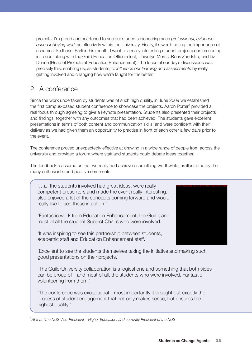projects. I'm proud and heartened to see our students pioneering such *professional, evidencebased lobbying work* so effectively within the University. Finally, it's worth noting the importance of schemes like these. Earlier this month, I went to a really interesting student projects conference up in Leeds, along with the Guild Education Officer elect, Llewellyn Morris, Roos Zandstra, and Liz Dunne (Head of Projects at Education Enhancement). The focus of our day's discussions was precisely this: enabling us, as students, to *influence our learning and assessments* by really getting involved and changing how we're taught for the better.

### 2. A conference

Since the work undertaken by students was of such high quality, in June 2009 we established the first campus-based student conference to showcase the projects. Aaron Porter<sup>6</sup> provided a real focus through agreeing to give a keynote presentation. Students also presented their projects and findings, together with any outcomes that had been achieved. The students gave excellent presentations in terms of both content and communication skills, and were confident with their delivery as we had given them an opportunity to practise in front of each other a few days prior to the event.

The conference proved unexpectedly effective at drawing in a wide range of people from across the university and provided a forum where staff and students could debate ideas together.

The feedback reassured us that we really had achieved something worthwhile, as illustrated by the many enthusiastic and positive comments.

'…all the students involved had great ideas, were really competent presenters and made the event really interesting. I also enjoyed a lot of the concepts coming forward and would really like to see these in action.'

'Fantastic work from Education Enhancement, the Guild, and most of all the student Subject Chairs who were involved.'

'It was inspiring to see this partnership between students, academic staff and Education Enhancement staff.'



'Excellent to see the students themselves taking the initiative and making such good presentations on their projects.'

'The Guild/University collaboration is a logical one and something that both sides can be proud of – and most of all, the students who were involved. Fantastic volunteering from them.'

'The conference was exceptional – most importantly it brought out exactly the process of student engagement that not only makes sense, but ensures the highest quality.'

<sup>6</sup>*At that time NUS Vice-President – Higher Education, and currently President of the NUS*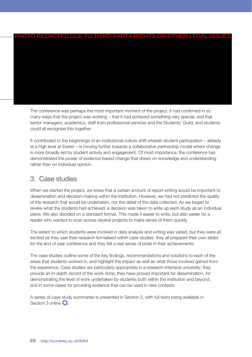#### PHOTO REDACTED DUE TO THIRD PARTY RIGHTS OR OTHER LEGAL ISSUES

The conference was perhaps the most important moment of the project. It had confirmed in so many ways that the project was working – that it had achieved something very special, and that senior managers, academics, staff from professional services and the Students' Guild, and students could all recognise this together.

It contributed to the beginnings of an institutional culture shift wherein student participation – already at a high level at Exeter – is moving further towards a collaborative partnership model where change is more broadly led by student activity and engagement. Of most importance, the conference has demonstrated the power of evidence-based change that draws on knowledge and understanding rather than on individual opinion.

#### 3. Case studies

When we started the project, we knew that a certain amount of report writing would be important to dissemination and decision-making within the institution. However, we had not predicted the quality of the research that would be undertaken, nor the detail of the data collected. As we began to review what the students had achieved, a decision was taken to write up each study as an individual piece. We also decided on a standard format. This made it easier to write, but also easier for a reader who wanted to scan across several projects to make sense of them quickly.

The extent to which students were involved in data analysis and writing was varied, but they were all excited as they saw their research formalised within case studies, they all prepared their own slides for the end of year conference and they felt a real sense of pride in their achievements.

The case studies outline some of the key findings, recommendations and solutions to each of the areas that students worked in, and highlight the impact as well as what those involved gained from the experience. Case studies are particularly appropriate in a research-intensive university; they provide an in-depth record of the work done, they have proved important for dissemination, for demonstrating the level of work undertaken by students both within the institution and beyond, and in some cases for providing evidence that can be used in new contexts.

A series of case study summaries is presented in Section 2, with full texts being available in Section 3 online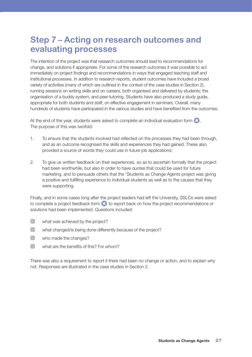# **Step 7 – Acting on research outcomes and evaluating processes**

The intention of the project was that research outcomes should lead to recommendations for change, and solutions if appropriate. For some of the research outcomes it was possible to act immediately on project findings and recommendations in ways that engaged teaching staff and institutional processes. In addition to research reports, student outcomes have included a broad variety of activities (many of which are outlined in the context of the case studies in Section 2), running sessions on writing skills and on careers, both organised and delivered by students; the organisation of a buddy system; and peer-tutoring. Students have also produced a study guide, appropriate for both students and staff, on effective engagement in seminars. Overall, many hundreds of students have participated in the various studies and have benefited from the outcomes.

At the end of the year, students were asked to complete an individual evaluation form  $\Omega$ . The purpose of this was twofold:

- 1. To ensure that the students involved had reflected on the processes they had been through, and as an outcome recognised the skills and experiences they had gained. These also provided a source of words they could use in future job applications;
- 2. To give us written feedback on their experiences, so as to ascertain formally that the project had been worthwhile, but also in order to have quotes that could be used for future marketing, and to persuade others that the 'Students as Change Agents project was giving a positive and fulfilling experience to individual students as well as to the causes that they were supporting.

Finally, and in some cases long after the project leaders had left the University, SSLCs were asked to complete a project feedback form  $\bullet$  to report back on how the project recommendations or solutions had been implemented. Questions included:

- $\Box$ what was achieved by the project?
- what changed/is being done differently because of the project?
- $\begin{array}{ccc} \begin{array}{ccc} \end{array} \end{array}$ who made the changes?
- $\Box$ what are the benefits of this? For whom?

There was also a requirement to report if there had been no change or action, and to explain why not. Responses are illustrated in the case studies in Section 2.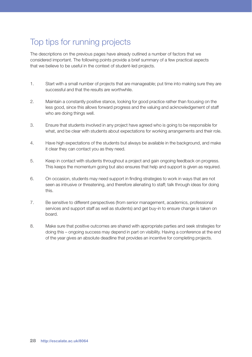# Top tips for running projects

The descriptions on the previous pages have already outlined a number of factors that we considered important. The following points provide a brief summary of a few practical aspects that we believe to be useful in the context of student-led projects.

- 1. Start with a small number of projects that are manageable; put time into making sure they are successful and that the results are worthwhile.
- 2. Maintain a constantly positive stance, looking for good practice rather than focusing on the less good, since this allows forward progress and the valuing and acknowledgement of staff who are doing things well.
- 3. Ensure that students involved in any project have agreed who is going to be responsible for what, and be clear with students about expectations for working arrangements and their role.
- 4. Have high expectations of the students but always be available in the background, and make it clear they can contact you as they need.
- 5. Keep in contact with students throughout a project and gain ongoing feedback on progress. This keeps the momentum going but also ensures that help and support is given as required.
- 6. On occasion, students may need support in finding strategies to work in ways that are not seen as intrusive or threatening, and therefore alienating to staff; talk through ideas for doing this.
- 7. Be sensitive to different perspectives (from senior management, academics, professional services and support staff as well as students) and get buy-in to ensure change is taken on board.
- 8. Make sure that positive outcomes are shared with appropriate parties and seek strategies for doing this – ongoing success may depend in part on visibility. Having a conference at the end of the year gives an absolute deadline that provides an incentive for completing projects.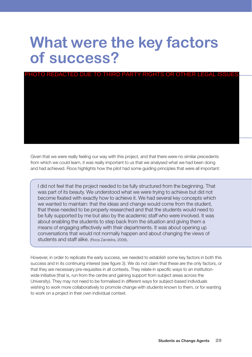# **What were the key factors of success?**

# PHOTO REDACTED DUE TO THIRD PARTY RIGHTS OR OTHER LEGAL ISSUES

Given that we were really feeling our way with this project, and that there were no similar precedents from which we could learn, it was really important to us that we analysed what we had been doing and had achieved. Roos highlights how the pilot had some guiding principles that were all important:

I did not feel that the project needed to be fully structured from the beginning. That was part of its beauty. We understood what we were trying to achieve but did not become fixated with exactly how to achieve it. We had several key concepts which we wanted to maintain: that the ideas and change would come from the student, that these needed to be properly researched and that the students would need to be fully supported by me but also by the academic staff who were involved. It was about enabling the students to step back from the situation and giving them a means of engaging effectively with their departments. It was about opening up conversations that would not normally happen and about changing the views of students and staff alike. (Roos Zandstra, 2009).

However, in order to replicate the early success, we needed to establish some key factors in both this success and in its continuing interest (see figure 3). We do not claim that these are the only factors, or that they are necessary pre-requisites in all contexts. They relate in specific ways to an institutionwide initiative (that is, run from the centre and gaining support from subject areas across the University). They may not need to be formalised in different ways for subject-based individuals wishing to work more collaboratively to promote change with students known to them, or for wanting to work on a project in their own individual context.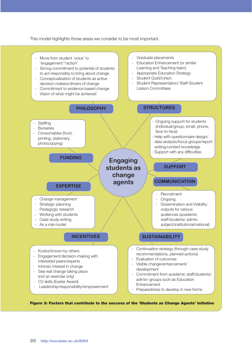This model highlights those areas we consider to be most important.

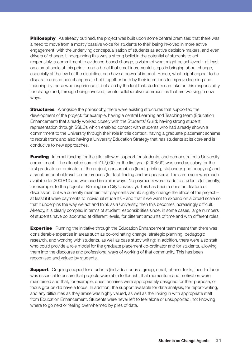**Philosophy** As already outlined, the project was built upon some central premises: that there was a need to move from a mostly passive voice for students to their being involved in more active engagement, with the underlying conceptualisation of students as active decision-makers, and even drivers of change. Underpinning this was a strong belief in the potential of students to act responsibly, a commitment to evidence-based change, a vision of what might be achieved – at least on a small scale at this point – and a belief that small incremental steps in bringing about change, especially at the level of the discipline, can have a powerful impact. Hence, what might appear to be disparate and ad hoc changes are held together both by their intentions to improve learning and teaching by those who experience it, but also by the fact that students can take on this responsibility for change and, through being involved, create collaborative communities that are working in new ways.

**Structures** Alongside the philosophy, there were existing structures that supported the development of the project: for example, having a central Learning and Teaching team (Education Enhancement) that already worked closely with the Students' Guild; having strong student representation through SSLCs which enabled contact with students who had already shown a commitment to the University through their role in this context; having a graduate placement scheme to recruit from; and also having a University Education Strategy that has students at its core and is conducive to new approaches.

**Funding** Internal funding for the pilot allowed support for students, and demonstrated a University commitment. The allocated sum of £12,000 for the first year (2008/09) was used as salary for the first graduate co-ordinator of the project, consumables (food, printing, stationery, photocopying) and a small amount of travel to conferences (for fact-finding and as speakers). The same sum was made available for 2009/10 and was used in similar ways. No payments were made to students (differently, for example, to the project at Birmingham City University). This has been a constant feature of discussion, but we currently maintain that payments would slightly change the ethos of the project – at least if it were payments to individual students – and that if we want to expand on a broad scale so that it underpins the way we act and think as a University, then this becomes increasingly difficult. Already, it is clearly complex in terms of student responsibilities since, in some cases, large numbers of students have collaborated at different levels, for different amounts of time and with different roles.

**Expertise** Running the initiative through the Education Enhancement team meant that there was considerable expertise in areas such as co-ordinating change, strategic planning, pedagogic research, and working with students, as well as case study writing; in addition, there were also staff who could provide a role model for the graduate placement co-ordinator and for students, allowing them into the discourse and professional ways of working of that community. This has been recognised and valued by students.

**Support** Ongoing support for students (individual or as a group, email, phone, texts, face-to-face) was essential to ensure that projects were able to flourish, that momentum and motivation were maintained and that, for example, questionnaires were appropriately designed for their purpose, or focus groups did have a focus. In addition, the support available for data analysis, for report-writing, and any difficulties as they arose was highly valued, as well as the linking in with appropriate staff from Education Enhancement. Students were never left to feel alone or unsupported, not knowing where to go next or feeling overwhelmed by piles of data.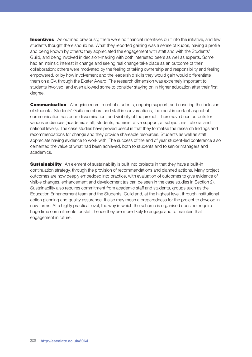**Incentives** As outlined previously, there were no financial incentives built into the initiative, and few students thought there should be. What they reported gaining was a sense of kudos, having a profile and being known by others; they appreciated the engagement with staff and with the Students' Guild, and being involved in decision-making with both interested peers as well as experts. Some had an intrinsic interest in change and seeing real change take place as an outcome of their collaboration; others were motivated by the feeling of taking ownership and responsibility and feeling empowered, or by how involvement and the leadership skills they would gain would differentiate them on a CV, through the Exeter Award. The research dimension was extremely important to students involved, and even allowed some to consider staying on in higher education after their first degree.

**Communication** Alongside recruitment of students, ongoing support, and ensuring the inclusion of students, Students' Guild members and staff in conversations, the most important aspect of communication has been dissemination, and visibility of the project. There have been outputs for various audiences (academic staff, students, administrative support, at subject, institutional and national levels). The case studies have proved useful in that they formalise the research findings and recommendations for change and they provide shareable resources. Students as well as staff appreciate having evidence to work with. The success of the end of year student-led conference also cemented the value of what had been achieved, both to students and to senior managers and academics.

**Sustainability** An element of sustainability is built into projects in that they have a built-in continuation strategy, through the provision of recommendations and planned actions. Many project outcomes are now deeply embedded into practice, with evaluation of outcomes to give evidence of visible changes, enhancement and development (as can be seen in the case studies in Section 2). Sustainability also requires commitment from academic staff and students, groups such as the Education Enhancement team and the Students' Guild and, at the highest level, through institutional action planning and quality assurance. It also may mean a preparedness for the project to develop in new forms. At a highly practical level, the way in which the scheme is organised does not require huge time commitments for staff: hence they are more likely to engage and to maintain that engagement in future.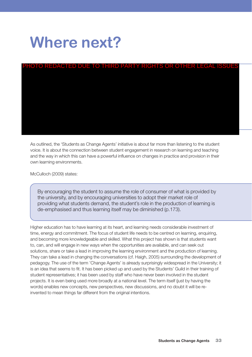# **Where next?**

# PHOTO REDACTED DUE TO THIRD PARTY RIGHTS OR OTHER LEGAL ISSUES

As outlined, the 'Students as Change Agents' initiative is about far more than listening to the student voice. It is about the connection between student engagement in research on learning and teaching and the way in which this can have a powerful influence on changes in practice and provision in their own learning environments.

McCulloch (2009) states:

By encouraging the student to assume the role of consumer of what is provided by the university, and by encouraging universities to adopt their market role of providing what students demand, the student's role in the production of learning is de-emphasised and thus learning itself may be diminished (p.173).

Higher education has to have learning at its heart, and learning needs considerable investment of time, energy and commitment. The focus of student life needs to be centred on learning, enquiring, and becoming more knowledgeable and skilled. What this project has shown is that students want to, can, and will engage in new ways when the opportunities are available, and can seek out solutions, share or take a lead in improving the learning environment and the production of learning. They can take a lead in changing the conversations (cf. Haigh, 2005) surrounding the development of pedagogy. The use of the term 'Change Agents' is already surprisingly widespread in the University; it is an idea that seems to fit. It has been picked up and used by the Students' Guild in their training of student representatives; it has been used by staff who have never been involved in the student projects. It is even being used more broadly at a national level. The term itself (just by having the words) enables new concepts, new perspectives, new discussions, and no doubt it will be reinvented to mean things far different from the original intentions.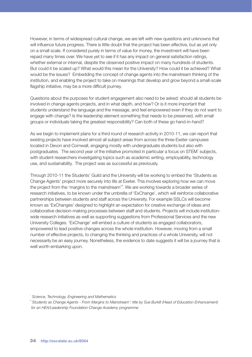However, in terms of widespread cultural change, we are left with new questions and unknowns that will influence future progress. There is little doubt that the project has been effective, but as yet only on a small scale. If considered purely in terms of value for money, the investment will have been repaid many times over. We have yet to see if it has any impact on general satisfaction ratings, whether external or internal, despite the observed positive impact on many hundreds of students. But could it be scaled up? What would this mean for the University? How could it be achieved? What would be the issues? Embedding the concept of change agents into the mainstream thinking of the institution, and enabling the project to take on meanings that develop and grow beyond a small-scale flagship initiative, may be a more difficult journey.

Questions about the purposes for student engagement also need to be asked: should all students be involved in change agents projects, and in what depth, and how? Or is it more important that students understand the language and the message, and feel empowered even if they do not want to engage with change? Is the leadership element something that needs to be preserved, with small groups or individuals taking the greatest responsibility? Can both of these go hand-in-hand?

As we begin to implement plans for a third round of research activity in 2010-11, we can report that existing projects have involved almost all subject areas from across the three Exeter campuses located in Devon and Cornwall, engaging mostly with undergraduate students but also with postgraduates. The second year of the initiative promoted in particular a focus on STEM $^7$  subjects, with student researchers investigating topics such as academic writing, employability, technology use, and sustainability. The project was as successful as previously.

Through 2010-11 the Students' Guild and the University will be working to embed the 'Students as Change Agents' project more securely into life at Exeter. This involves exploring how we can move the project from the 'margins to the mainstream'<sup>8</sup>. We are working towards a broader series of research initiatives, to be known under the umbrella of 'ExChange', which will reinforce collaborative partnerships between students and staff across the University. For example SSLCs will become known as 'ExChanges' designed to highlight an expectation for creative exchange of ideas and collaborative decision-making processes between staff and students. Projects will include institutionwide research initiatives as well as supporting suggestions from Professional Services and the new University Colleges. 'ExChange' will embed a culture of students as engaged collaborators, empowered to lead positive changes across the whole institution. However, moving from a small number of effective projects, to changing the thinking and practices of a whole University, will not necessarily be an easy journey. Nonetheless, the evidence to date suggests it will be a journey that is well worth embarking upon.

<sup>7</sup>*Science, Technology, Engineering and Mathematics*

<sup>8</sup>*'Students as Change Agents - From Margins to Mainstream': title by Sue Burkill (Head of Education Enhancement) for an HEA/Leadership Foundation Change Academy programme*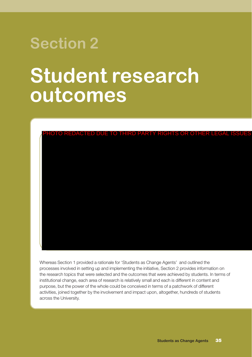# **Section 2**

# **Student research outcomes**



Whereas Section 1 provided a rationale for 'Students as Change Agents' and outlined the processes involved in setting up and implementing the initiative, Section 2 provides information on the research topics that were selected and the outcomes that were achieved by students. In terms of institutional change, each area of research is relatively small and each is different in content and purpose, but the power of the whole could be conceived in terms of a patchwork of different activities, joined together by the involvement and impact upon, altogether, hundreds of students across the University.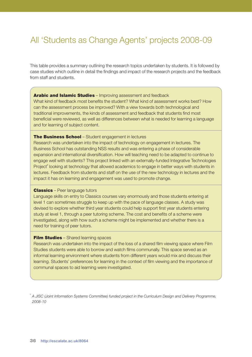# All 'Students as Change Agents' projects 2008-09

This table provides a summary outlining the research topics undertaken by students. It is followed by case studies which outline in detail the findings and impact of the research projects and the feedback from staff and students.

#### **Arabic and Islamic Studies** – Improving assessment and feedback

What kind of feedback most benefits the student? What kind of assessment works best? How can the assessment process be improved? With a view towards both technological and traditional improvements, the kinds of assessment and feedback that students find most beneficial were reviewed, as well as differences between what is needed for learning a language and for learning of subject content.

#### **The Business School** – Student engagement in lectures

Research was undertaken into the impact of technology on engagement in lectures. The Business School has outstanding NSS results and was entering a phase of considerable expansion and international diversification. How will teaching need to be adapted to continue to engage well with students? This project linked with an externally-funded Integrative Technologies Project<sup>®</sup> looking at technology that allowed academics to engage in better ways with students in lectures. Feedback from students and staff on the use of the new technology in lectures and the impact it has on learning and engagement was used to promote change.

#### **Classics** – Peer language tutors

Language skills on entry to Classics courses vary enormously and those students entering at level 1 can sometimes struggle to keep up with the pace of language classes. A study was devised to explore whether third year students could help support first year students entering study at level 1, through a peer tutoring scheme. The cost and benefits of a scheme were investigated, along with how such a scheme might be implemented and whether there is a need for training of peer tutors.

#### **Film Studies** – Shared learning spaces

Research was undertaken into the impact of the loss of a shared film viewing space where Film Studies students were able to borrow and watch films communally. This space served as an informal learning environment where students from different years would mix and discuss their learning. Students' preferences for learning in the context of film viewing and the importance of communal spaces to aid learning were investigated.

<sup>9</sup>*A JISC (Joint Information Systems Committee) funded project in the Curriculum Design and Delivery Programme, 2008-10*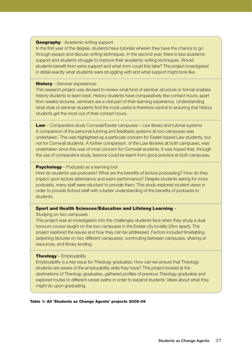#### **Geography** - Academic writing support

In the first year of the degree, students have tutorials wherein they have the chance to go through essays and discuss writing techniques. In the second year, there is less academic support and students struggle to improve their academic writing techniques. Would students benefit from extra support and what form could this take? The project investigated in detail exactly what students were struggling with and what support might look like.

#### **History** – Seminar experiences

This research project was devised to review what kind of seminar structure or format enables history students to learn best. History students have comparatively few contact hours; apart from weekly lectures, seminars are a vital part of their learning experience. Understanding what style of seminar students find the most useful is therefore central to ensuring that history students get the most out of their contact hours.

**Law** – Comparative study Cornwall/Exeter campuses – Law library and tutorial systems A comparison of the personal tutoring and feedback systems at two campuses was undertaken. This was highlighted as a particular concern for Exeter-based Law students, but not for Cornwall students. A further comparison, of the Law libraries at both campuses, was undertaken since this was of most concern for Cornwall students. It was hoped that, through the use of comparative study, lessons could be learnt from good practice at both campuses.

#### **Psychology** – Podcasts as a learning tool

How do students use podcasts? What are the benefits of lecture podcasting? How do they impact upon lecture attendance and exam performance? Despite students asking for more podcasts, many staff were reluctant to provide them. This study explored student views in order to provide School staff with a better understanding of the benefits of podcasts to students.

#### **Sport and Health Sciences/Education and Lifelong Learning** –

Studying on two campuses

This project was an investigation into the challenges students face when they study a dual honours course taught on the two campuses in the Exeter city locality (2km apart). The project explored the issues and how they can be addressed. Factors included timetabling (adjoining lectures on two different campuses), commuting between campuses, sharing of resources, and library lending.

#### **Theology** – Employability

Employability is a key issue for Theology graduates. How can we ensure that Theology students are aware of the employability skills they have? This project looked at the destinations of Theology graduates, gathered profiles of previous Theology graduates and explored routes to different career paths in order to expand students' ideas about what they might do upon graduating.

#### **Table 1: All 'Students as Change Agents' projects 2008-09**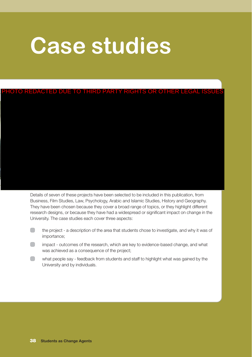# **Case studies**

PHOTO REDACTED DUE TO THIRD PARTY RIGHTS OR OTHER LEGAL ISSUE

Details of seven of these projects have been selected to be included in this publication, from Business, Film Studies, Law, Psychology, Arabic and Islamic Studies, History and Geography. They have been chosen because they cover a broad range of topics, or they highlight different research designs, or because they have had a widespread or significant impact on change in the University. The case studies each cover three aspects:

- the project a description of the area that students chose to investigate, and why it was of importance;
- impact outcomes of the research, which are key to evidence-based change, and what was achieved as a consequence of the project;
- what people say feedback from students and staff to highlight what was gained by the University and by individuals.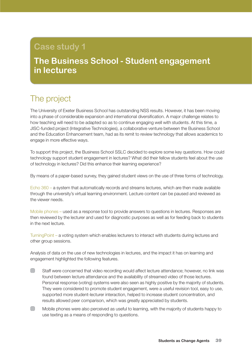# **Case study 1**

# **The Business School - Student engagement in lectures**

# The project

The University of Exeter Business School has outstanding NSS results. However, it has been moving into a phase of considerable expansion and international diversification. A major challenge relates to how teaching will need to be adapted so as to continue engaging well with students. At this time, a JISC-funded project (Integrative Technologies), a collaborative venture between the Business School and the Education Enhancement team, had as its remit to review technology that allows academics to engage in more effective ways.

To support this project, the Business School SSLC decided to explore some key questions. How could technology support student engagement in lectures? What did their fellow students feel about the use of technology in lectures? Did this enhance their learning experience?

By means of a paper-based survey, they gained student views on the use of three forms of technology.

Echo 360 – a system that automatically records and streams lectures, which are then made available through the university's virtual learning environment. Lecture content can be paused and reviewed as the viewer needs.

Mobile phones – used as a response tool to provide answers to questions in lectures. Responses are then reviewed by the lecturer and used for diagnostic purposes as well as for feeding back to students in the next lecture.

TurningPoint – a voting system which enables lecturers to interact with students during lectures and other group sessions.

Analysis of data on the use of new technologies in lectures, and the impact it has on learning and engagement highlighted the following features.

- $\Box$ Staff were concerned that video recording would affect lecture attendance; however, no link was found between lecture attendance and the availability of streamed video of those lectures. Personal response (voting) systems were also seen as highly positive by the majority of students. They were considered to promote student engagement, were a useful revision tool, easy to use, supported more student-lecturer interaction, helped to increase student concentration, and results allowed peer comparison, which was greatly appreciated by students.
- $\Box$ Mobile phones were also perceived as useful to learning, with the majority of students happy to use texting as a means of responding to questions.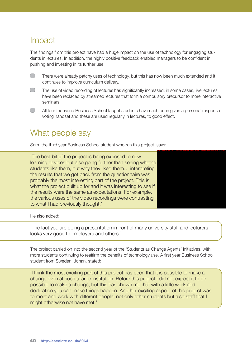## Impact

The findings from this project have had a huge impact on the use of technology for engaging students in lectures. In addition, the highly positive feedback enabled managers to be confident in pushing and investing in its further use.

 $\Box$ There were already patchy uses of technology, but this has now been much extended and it continues to improve curriculum delivery.

- $\Box$ The use of video recording of lectures has significantly increased; in some cases, live lectures have been replaced by streamed lectures that form a compulsory precursor to more interactive seminars.
- All four thousand Business School taught students have each been given a personal response voting handset and these are used regularly in lectures, to good effect.

## What people say

Sam, the third year Business School student who ran this project, says:

'The best bit of the project is being exposed to new learning devices but also going further than seeing whethe students like them, but why they liked them… interpreting the results that we got back from the questionnaire was probably the most interesting part of the project. This is what the project built up for and it was interesting to see if the results were the same as expectations. For example, the various uses of the video recordings were contrasting to what I had previously thought.'



He also added:

'The fact you are doing a presentation in front of many university staff and lecturers looks very good to employers and others.'

The project carried on into the second year of the 'Students as Change Agents' initiatives, with more students continuing to reaffirm the benefits of technology use. A first year Business School student from Sweden, Johan, stated:

'I think the most exciting part of this project has been that it is possible to make a change even at such a large institution. Before this project I did not expect it to be possible to make a change, but this has shown me that with a little work and dedication you can make things happen. Another exciting aspect of this project was to meet and work with different people, not only other students but also staff that I might otherwise not have met.'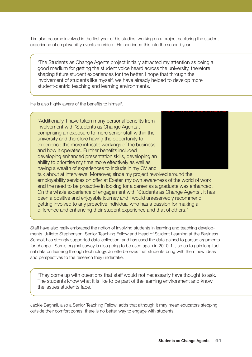Tim also became involved in the first year of his studies, working on a project capturing the student experience of employability events on video. He continued this into the second year.

'The Students as Change Agents project initially attracted my attention as being a good medium for getting the student voice heard across the university, therefore shaping future student experiences for the better. I hope that through the involvement of students like myself, we have already helped to develop more student-centric teaching and learning environments.'

He is also highly aware of the benefits to himself.

'Additionally, I have taken many personal benefits from involvement with 'Students as Change Agents', comprising an exposure to more senior staff within the university and therefore having the opportunity to experience the more intricate workings of the business and how it operates. Further benefits included developing enhanced presentation skills, developing an ability to prioritise my time more effectively as well as having a wealth of experiences to include in my CV and



talk about at interviews. Moreover, since my project revolved around the employability services on offer at Exeter, my own awareness of the world of work and the need to be proactive in looking for a career as a graduate was enhanced. On the whole experience of engagement with 'Students as Change Agents', it has been a positive and enjoyable journey and I would unreservedly recommend getting involved to any proactive individual who has a passion for making a difference and enhancing their student experience and that of others.'

Staff have also really embraced the notion of involving students in learning and teaching developments. Juliette Stephenson, Senior Teaching Fellow and Head of Student Learning at the Business School, has strongly supported data-collection, and has used the data gained to pursue arguments for change. Sam's original survey is also going to be used again in 2010-11, so as to gain longitudinal data on learning through technology. Juliette believes that students bring with them new ideas and perspectives to the research they undertake.

'They come up with questions that staff would not necessarily have thought to ask. The students know what it is like to be part of the learning environment and know the issues students face.'

Jackie Bagnall, also a Senior Teaching Fellow, adds that although it may mean educators stepping outside their comfort zones, there is no better way to engage with students.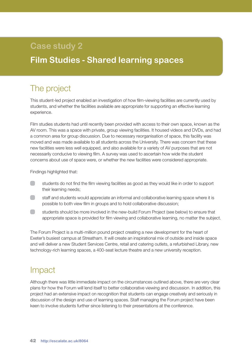# **Case study 2**

# **Film Studies - Shared learning spaces**

# The project

This student-led project enabled an investigation of how film-viewing facilities are currently used by students, and whether the facilities available are appropriate for supporting an effective learning experience.

Film studies students had until recently been provided with access to their own space, known as the AV room. This was a space with private, group viewing facilities. It housed videos and DVDs, and had a common area for group discussion. Due to necessary reorganisation of space, this facility was moved and was made available to all students across the University. There was concern that these new facilities were less well equipped, and also available for a variety of AV purposes that are not necessarily conducive to viewing film. A survey was used to ascertain how wide the student concerns about use of space were, or whether the new facilities were considered appropriate.

Findings highlighted that:

- students do not find the film viewing facilities as good as they would like in order to support their learning needs;
- staff and students would appreciate an informal and collaborative learning space where it is possible to both view film in groups and to hold collaborative discussion;
- students should be more involved in the new-build Forum Project (see below) to ensure that appropriate space is provided for film viewing and collaborative learning, no matter the subject.

The Forum Project is a multi-million pound project creating a new development for the heart of Exeter's busiest campus at Streatham. It will create an inspirational mix of outside and inside space and will deliver a new Student Services Centre, retail and catering outlets, a refurbished Library, new technology-rich learning spaces, a 400-seat lecture theatre and a new university reception.

## Impact

Although there was little immediate impact on the circumstances outlined above, there are very clear plans for how the Forum will lend itself to better collaborative viewing and discussion. In addition, this project had an extensive impact on recognition that students can engage creatively and seriously in discussion of the design and use of learning spaces. Staff managing the Forum project have been keen to involve students further since listening to their presentations at the conference.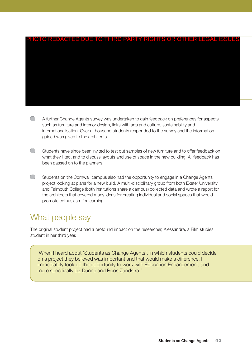# PHOTO REDACTED DUE TO THIRD PARTY RIGHTS OR OTHER LEGAL ISSUES

- A further Change Agents survey was undertaken to gain feedback on preferences for aspects such as furniture and interior design, links with arts and culture, sustainability and internationalisation. Over a thousand students responded to the survey and the information gained was given to the architects.
- $\Box$ Students have since been invited to test out samples of new furniture and to offer feedback on what they liked, and to discuss layouts and use of space in the new building. All feedback has been passed on to the planners.
- $\Box$ Students on the Cornwall campus also had the opportunity to engage in a Change Agents project looking at plans for a new build. A multi-disciplinary group from both Exeter University and Falmouth College (both institutions share a campus) collected data and wrote a report for the architects that covered many ideas for creating individual and social spaces that would promote enthusiasm for learning.

# What people say

The original student project had a profound impact on the researcher, Alessandra, a Film studies student in her third year.

'When I heard about 'Students as Change Agents', in which students could decide on a project they believed was important and that would make a difference, I immediately took up the opportunity to work with Education Enhancement, and more specifically Liz Dunne and Roos Zandstra.'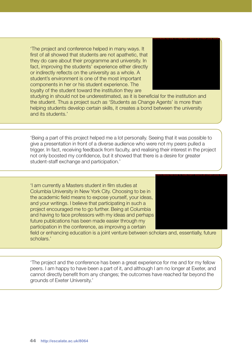'The project and conference helped in many ways. It first of all showed that students are not apathetic, that they do care about their programme and university. In fact, improving the students' experience either directly or indirectly reflects on the university as a whole. A student's environment is one of the most important components in her or his student experience. The loyalty of the student toward the institution they are



studying in should not be underestimated, as it is beneficial for the institution and the student. Thus a project such as 'Students as Change Agents' is more than helping students develop certain skills, it creates a bond between the university and its students.'

'Being a part of this project helped me a lot personally. Seeing that it was possible to give a presentation in front of a diverse audience who were not my peers pulled a trigger. In fact, receiving feedback from faculty, and realising their interest in the project not only boosted my confidence, but it showed that there is a desire for greater student-staff exchange and participation.'

'I am currently a Masters student in film studies at Columbia University in New York City. Choosing to be in the academic field means to expose yourself, your ideas, and your writings. I believe that participating in such a project encouraged me to go further. Being at Columbia and having to face professors with my ideas and perhaps future publications has been made easier through my participation in the conference, as improving a certain



field or enhancing education is a joint venture between scholars and, essentially, future scholars.'

'The project and the conference has been a great experience for me and for my fellow peers. I am happy to have been a part of it, and although I am no longer at Exeter, and cannot directly benefit from any changes; the outcomes have reached far beyond the grounds of Exeter University.'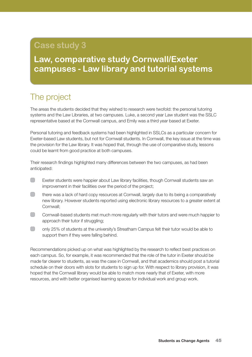# **Case study 3**

# **Law, comparative study Cornwall/Exeter campuses - Law library and tutorial systems**

# The project

The areas the students decided that they wished to research were twofold: the personal tutoring systems and the Law Libraries, at two campuses. Luke, a second year Law student was the SSLC representative based at the Cornwall campus, and Emily was a third year based at Exeter.

Personal tutoring and feedback systems had been highlighted in SSLCs as a particular concern for Exeter-based Law students, but not for Cornwall students. In Cornwall, the key issue at the time was the provision for the Law library. It was hoped that, through the use of comparative study, lessons could be learnt from good practice at both campuses.

Their research findings highlighted many differences between the two campuses, as had been anticipated:

- $\Box$ Exeter students were happier about Law library facilities, though Cornwall students saw an improvement in their facilities over the period of the project;
- $\Box$ there was a lack of hard copy resources at Cornwall, largely due to its being a comparatively new library. However students reported using electronic library resources to a greater extent at Cornwall;
- $\Box$ Cornwall-based students met much more regularly with their tutors and were much happier to approach their tutor if struggling:
- $\Box$ only 25% of students at the university's Streatham Campus felt their tutor would be able to support them if they were falling behind.

Recommendations picked up on what was highlighted by the research to reflect best practices on each campus. So, for example, it was recommended that the role of the tutor in Exeter should be made far clearer to students, as was the case in Cornwall, and that academics should post a tutorial schedule on their doors with slots for students to sign up for. With respect to library provision, it was hoped that the Cornwall library would be able to match more nearly that of Exeter, with more resources, and with better organised learning spaces for individual work and group work.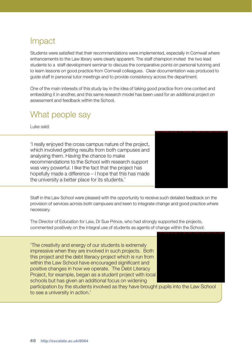## Impact

Students were satisfied that their recommendations were implemented, especially in Cornwall where enhancements to the Law library were clearly apparent. The staff champion invited the two lead students to a staff development seminar to discuss the comparative points on personal tutoring and to learn lessons on good practice from Cornwall colleagues. Clear documentation was produced to guide staff in personal tutor meetings and to provide consistency across the department.

One of the main interests of this study lay in the idea of taking good practice from one context and embedding it in another, and this same research model has been used for an additional project on assessment and feedback within the School.

# What people say

Luke said:

'I really enjoyed the cross campus nature of the project, which involved getting results from both campuses and analysing them. Having the chance to make recommendations to the School with research support was very powerful. I like the fact that the project has hopefully made a difference – I hope that this has made the university a better place for its students.'

Staff in the Law School were pleased with the opportunity to receive such detailed feedback on the provision of services across both campuses and keen to integrate change and good practice where necessary.

The Director of Education for Law, Dr Sue Prince, who had strongly supported the projects, commented positively on the integral use of students as agents of change within the School:

'The creativity and energy of our students is extremely impressive when they are involved in such projects. Both this project and the debt literacy project which is run from within the Law School have encouraged significant and positive changes in how we operate. The Debt Literacy Project, for example, began as a student project with local schools but has given an additional focus on widening



PHOTO REDACTED DUE TO THIRD PARTY RIGHTS OR OTHER LEGAL ISSUES

participation by the students involved as they have brought pupils into the Law School to see a university in action.'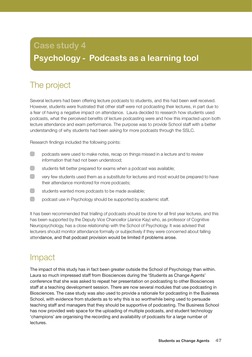# **Case study 4 Psychology - Podcasts as a learning tool**

# The project

Several lecturers had been offering lecture podcasts to students, and this had been well received. However, students were frustrated that other staff were not podcasting their lectures, in part due to a fear of having a negative impact on attendance. Laura decided to research how students used podcasts, what the perceived benefits of lecture podcasting were and how this impacted upon both lecture attendance and exam performance. The purpose was to provide School staff with a better understanding of why students had been asking for more podcasts through the SSLC.

Research findings included the following points:

- $\Box$ podcasts were used to make notes, recap on things missed in a lecture and to review information that had not been understood;
- $\Box$ students felt better prepared for exams when a podcast was available;
- $\Box$ very few students used them as a substitute for lectures and most would be prepared to have their attendance monitored for more podcasts;
- $\Box$ students wanted more podcasts to be made available;
- $\Box$ podcast use in Psychology should be supported by academic staff.

It has been recommended that trialling of podcasts should be done for all first year lectures, and this has been supported by the Deputy Vice Chancellor (Janice Kay) who, as professor of Cognitive Neuropsychology, has a close relationship with the School of Psychology. It was advised that lecturers should monitor attendance formally or subjectively if they were concerned about falling attendance, and that podcast provision would be limited if problems arose.

## Impact

The impact of this study has in fact been greater outside the School of Psychology than within. Laura so much impressed staff from Biosciences during the 'Students as Change Agents' conference that she was asked to repeat her presentation on podcasting to other Biosciences staff at a teaching development session. There are now several modules that use podcasting in Biosciences. The case study was also used to provide a rationale for podcasting in the Business School, with evidence from students as to why this is so worthwhile being used to persuade teaching staff and managers that they should be supportive of podcasting. The Business School has now provided web space for the uploading of multiple podcasts, and student technology 'champions' are organising the recording and availability of podcasts for a large number of lectures.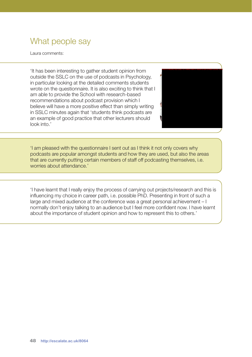# What people say

Laura comments:

'It has been interesting to gather student opinion from outside the SSLC on the use of podcasts in Psychology, in particular looking at the detailed comments students wrote on the questionnaire. It is also exciting to think that I am able to provide the School with research-based recommendations about podcast provision which I believe will have a more positive effect than simply writing in SSLC minutes again that 'students think podcasts are an example of good practice that other lecturers should look into.'



'I am pleased with the questionnaire I sent out as I think it not only covers why podcasts are popular amongst students and how they are used, but also the areas that are currently putting certain members of staff off podcasting themselves, i.e. worries about attendance.'

'I have learnt that I really enjoy the process of carrying out projects/research and this is influencing my choice in career path, i.e. possible PhD. Presenting in front of such a large and mixed audience at the conference was a great personal achievement – I normally don't enjoy talking to an audience but I feel more confident now. I have learnt about the importance of student opinion and how to represent this to others.'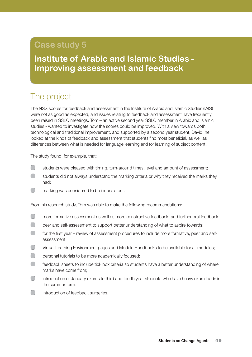# **Case study 5**

**Institute of Arabic and Islamic Studies - Improving assessment and feedback**

# The project

The NSS scores for feedback and assessment in the Institute of Arabic and Islamic Studies (IAIS) were not as good as expected, and issues relating to feedback and assessment have frequently been raised in SSLC meetings. Tom – an active second year SSLC member in Arabic and Islamic studies - wanted to investigate how the scores could be improved. With a view towards both technological and traditional improvement, and supported by a second year student, David, he looked at the kinds of feedback and assessment that students find most beneficial, as well as differences between what is needed for language learning and for learning of subject content.

The study found, for example, that:

- $\begin{array}{ccc} \end{array}$ students were pleased with timing, turn-around times, level and amount of assessment;
- $\begin{pmatrix} 1 \\ 1 \end{pmatrix}$ students did not always understand the marking criteria or why they received the marks they had;
- $\Box$ marking was considered to be inconsistent.

From his research study, Tom was able to make the following recommendations:

- $\Box$ more formative assessment as well as more constructive feedback, and further oral feedback;
- $\Box$ peer and self-assessment to support better understanding of what to aspire towards;
- $(\ )$ for the first year – review of assessment procedures to include more formative, peer and selfassessment;
- $\Box$ Virtual Learning Environment pages and Module Handbooks to be available for all modules;
- $\Box$ personal tutorials to be more academically focused;
- $\Box$ feedback sheets to include tick box criteria so students have a better understanding of where marks have come from;
- introduction of January exams to third and fourth year students who have heavy exam loads in the summer term.
- $\Box$ introduction of feedback surgeries.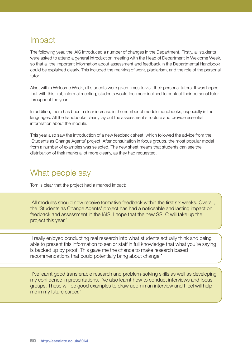## Impact

The following year, the IAIS introduced a number of changes in the Department. Firstly, all students were asked to attend a general introduction meeting with the Head of Department in Welcome Week, so that all the important information about assessment and feedback in the Departmental Handbook could be explained clearly. This included the marking of work, plagiarism, and the role of the personal tutor.

Also, within Welcome Week, all students were given times to visit their personal tutors. It was hoped that with this first, informal meeting, students would feel more inclined to contact their personal tutor throughout the year.

In addition, there has been a clear increase in the number of module handbooks, especially in the languages. All the handbooks clearly lay out the assessment structure and provide essential information about the module.

This year also saw the introduction of a new feedback sheet, which followed the advice from the 'Students as Change Agents' project. After consultation in focus groups, the most popular model from a number of examples was selected. The new sheet means that students can see the distribution of their marks a lot more clearly, as they had requested.

# What people say

Tom is clear that the project had a marked impact:

'All modules should now receive formative feedback within the first six weeks. Overall, the 'Students as Change Agents' project has had a noticeable and lasting impact on feedback and assessment in the IAIS. I hope that the new SSLC will take up the project this year.'

'I really enjoyed conducting real research into what students actually think and being able to present this information to senior staff in full knowledge that what you're saying is backed up by proof. This gave me the chance to make research based recommendations that could potentially bring about change.'

'I've learnt good transferable research and problem-solving skills as well as developing my confidence in presentations. I've also learnt how to conduct interviews and focus groups. These will be good examples to draw upon in an interview and I feel will help me in my future career.'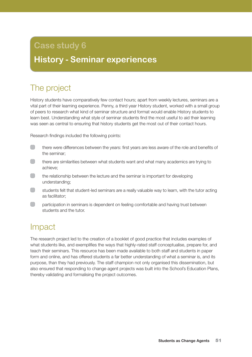# **Case study 6**

# **History - Seminar experiences**

# The project

History students have comparatively few contact hours; apart from weekly lectures, seminars are a vital part of their learning experience. Penny, a third year History student, worked with a small group of peers to research what kind of seminar structure and format would enable History students to learn best. Understanding what style of seminar students find the most useful to aid their learning was seen as central to ensuring that history students get the most out of their contact hours.

Research findings included the following points:

- $\Box$ there were differences between the years: first years are less aware of the role and benefits of the seminar;
- $\Box$ there are similarities between what students want and what many academics are trying to achieve;
- $\Box$ the relationship between the lecture and the seminar is important for developing understanding;
- $\Box$ students felt that student-led seminars are a really valuable way to learn, with the tutor acting as facilitator;
- $\Box$ participation in seminars is dependent on feeling comfortable and having trust between students and the tutor.

# Impact

The research project led to the creation of a booklet of good practice that includes examples of what students like, and exemplifies the ways that highly-rated staff conceptualise, prepare for, and teach their seminars. This resource has been made available to both staff and students in paper form and online, and has offered students a far better understanding of what a seminar is, and its purpose, than they had previously. The staff champion not only organised this dissemination, but also ensured that responding to change agent projects was built into the School's Education Plans, thereby validating and formalising the project outcomes.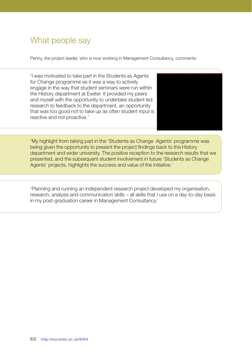# What people say

Penny, the project leader, who is now working in Management Consultancy, comments:

'I was motivated to take part in the Students as Agents for Change programme as it was a way to actively engage in the way that student seminars were run within the History department at Exeter. It provided my peers and myself with the opportunity to undertake student led research to feedback to the department, an opportunity that was too good not to take up as often student input is reactive and not proactive.'



'My highlight from taking part in the 'Students as Change Agents' programme was being given the opportunity to present the project findings back to the History department and wider university. The positive reception to the research results that we presented, and the subsequent student involvement in future 'Students as Change Agents' projects, highlights the success and value of the initiative.'

'Planning and running an independent research project developed my organisation, research, analysis and communication skills – all skills that I use on a day-to-day basis in my post-graduation career in Management Consultancy.'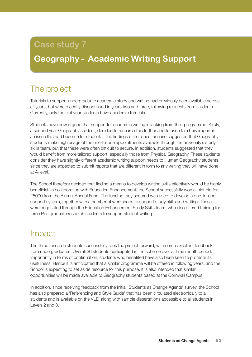# **Case study 7**

# **Geography - Academic Writing Support**

# The project

Tutorials to support undergraduate academic study and writing had previously been available across all years, but were recently discontinued in years two and three, following requests from students. Currently, only the first year students have academic tutorials.

Students have now argued that support for academic writing is lacking from their programme. Kirsty, a second year Geography student, decided to research this further and to ascertain how important an issue this had become for students. The findings of her questionnaire suggested that Geography students make high usage of the one-to-one appointments available through the university's study skills team, but that these were often difficult to secure. In addition, students suggested that they would benefit from more tailored support, especially those from Physical Geography. These students consider they have slightly different academic writing support needs to Human Geography students, since they are expected to submit reports that are different in form to any writing they will have done at A-level.

The School therefore decided that finding a means to develop writing skills effectively would be highly beneficial. In collaboration with Education Enhancement, the School successfully won a joint bid for £5000 from the Alumni Annual Fund. The funding they secured was used to develop a one-to-one support system, together with a number of workshops to support study skills and writing. These were negotiated through the Education Enhancement Study Skills team, who also offered training for three Postgraduate research students to support student writing.

## Impact

The three research students successfully took the project forward, with some excellent feedback from undergraduates. Overall 36 students participated in the scheme over a three month period. Importantly in terms of continuation, students who benefited have also been keen to promote its usefulness. Hence it is anticipated that a similar programme will be offered in following years, and the School is expecting to set aside resource for this purpose. It is also intended that similar opportunities will be made available to Geography students based at the Cornwall Campus.

In addition, since receiving feedback from the initial 'Students as Change Agents' survey, the School has also prepared a 'Referencing and Style Guide' that has been circulated electronically to all students and is available on the VLE, along with sample dissertations accessible to all students in Levels 2 and 3.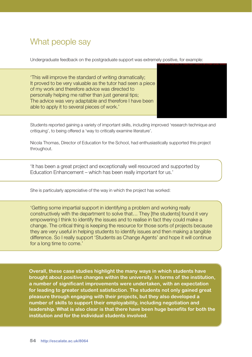## What people say

Undergraduate feedback on the postgraduate support was extremely positive, for example:

'This will improve the standard of writing dramatically; It proved to be very valuable as the tutor had seen a piece of my work and therefore advice was directed to personally helping me rather than just general tips; The advice was very adaptable and therefore I have been able to apply it to several pieces of work.'



Students reported gaining a variety of important skills, including improved 'research technique and critiquing', to being offered a 'way to critically examine literature'.

Nicola Thomas, Director of Education for the School, had enthusiastically supported this project throughout.

'It has been a great project and exceptionally well resourced and supported by Education Enhancement – which has been really important for us.'

She is particularly appreciative of the way in which the project has worked:

'Getting some impartial support in identifying a problem and working really constructively with the department to solve that… They [the students] found it very empowering I think to identify the issues and to realise in fact they could make a change. The critical thing is keeping the resource for those sorts of projects because they are very useful in helping students to identify issues and then making a tangible difference. So I really support 'Students as Change Agents' and hope it will continue for a long time to come.'

**Overall, these case studies highlight the many ways in which students have brought about positive changes within the university. In terms of the institution, a number of significant improvements were undertaken, with an expectation for leading to greater student satisfaction. The students not only gained great pleasure through engaging with their projects, but they also developed a number of skills to support their employability, including negotiation and leadership. What is also clear is that there have been huge benefits for both the institution and for the individual students involved.**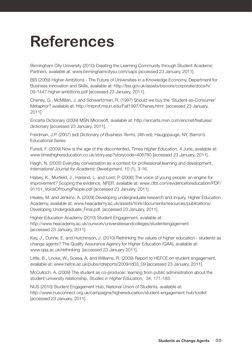# **References**

Birmingham City University (2010) Creating the Learning Community through Student Academic Partners, available at: www.birminghamcitysu.com/saps [accessed 23 January, 2011].

BIS (2009) Higher Ambitions - The Future of Universities in a Knowledge Economy, Department for Business Innovation and Skills, available at: http://bis.gov.uk/assets/biscore/corporate/docs/h/ 09-1447-higher-ambitions.pdf [accessed 23 January, 2011].

Cheney, G., McMillan, J. and Schwartzman, R. (1997) Should we buy the 'Student-as-Consumer' Metaphor? available at: http://mtprof.msun.edu/Fall1997/Cheney.html [accessed 23 January, 2011].

Encarta Dictionary (2009) MSN Microsoft, available at: http://encarta.msn.com/encnet/features/ dictionary [accessed 23 January, 2011].

Freidman, J.P. (2007) (ed) *Dictionary of Business Terms*, (4th ed), Haugppauge, NY, Barron's Educational Series

Furedi, F. (2009) Now is the age of the discontented, *Times Higher Education*, 4 June, available at: www.timeshighereducation.co.uk/story.asp?storycode=406780 [accessed 23 January, 2011].

Haigh, N. (2005) Everyday conversation as a context for professional learning and development, *International Journal for Academic Development*, 10 (1), 3-16.

Halsey, K., Murfield, J., Harland, L. and Lord, P. (2006) The voice of young people: an engine for improvement? Scoping the evidence, NFER, available at: www.cfbt.com/evidenceforeducation/PDF/ 91151\_VoiceOfYoungPeople.pdf [accessed 23 January, 2011].

Healey, M. and Jenkins, A. (2009) Developing undergraduate research and inquiry, Higher Education Academy, available at: www.heacademy.ac.uk/assets/York/documents/resources/publications/ Developing Undergraduate\_Final.pdf. [accessed 23 January, 2011].

Higher Education Academy (2010) Student Engagement, available at: http://www.heacademy.ac.uk/ourwork/universitiesandcolleges/studentengagement [accessed 23 January, 2011].

Kay, J., Dunne, E. and Hutchinson, J. (2010) Rethinking the values of higher education - students as change agents? The Quality Assurance Agency for Higher Education (QAA), available at: www.qaa.ac.uk/rethinking [accessed 23 January 2011].

Little, B., Locke, W., Scesa, A. and Williams, R. (2009) Report to HEFCE on student engagement, available at: www.hefce.ac.uk/pubs/rdreports/2009/rd03\_09 [accessed 23 January, 2011].

McCulloch, A. (2009) The student as co-producer: learning from public administration about the student-university relationship, *Studies in Higher Education,* 34, 171-183.

NUS (2010) Student Engagement Hub, National Union of Students, available at: http://www.nusconnect.org.uk/campaigns/highereducation/student-engagement-hub/toolkit [accessed 23 January, 2011].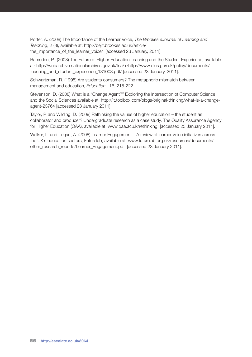Porter, A. (2008) The Importance of the Learner Voice, *The Brookes eJournal of Learning and Teaching*, 2 (3), available at: http://bejlt.brookes.ac.uk/article/ the\_importance\_of\_the\_learner\_voice/ [accessed 23 January, 2011].

Ramsden, P. (2008) The Future of Higher Education Teaching and the Student Experience, available at: http://webarchive.nationalarchives.gov.uk/tna/+/http://www.dius.gov.uk/policy/documents/ teaching\_and\_student\_experience\_131008.pdf/ [accessed 23 January, 2011].

Schwartzman, R. (1995) Are students consumers? The metaphoric mismatch between management and education, *Education* 116, 215-222.

Stevenson, D. (2008) What is a "Change Agent?" Exploring the Intersection of Computer Science and the Social Sciences available at: http://it.toolbox.com/blogs/original-thinking/what-is-a-changeagent-23764 [accessed 23 January 2011].

Taylor, P. and Wilding, D. (2009) Rethinking the values of higher education – the student as collaborator and producer? Undergraduate research as a case study, The Quality Assurance Agency for Higher Education (QAA), available at: www.qaa.ac.uk/rethinking [accessed 23 January 2011].

Walker, L. and Logan, A. (2008) Learner Engagement – A review of learner voice initiatives across the UK's education sectors, Futurelab, available at: www.futurelab.org.uk/resources/documents/ other\_research\_reports/Learner\_Engagement.pdf [accessed 23 January 2011].